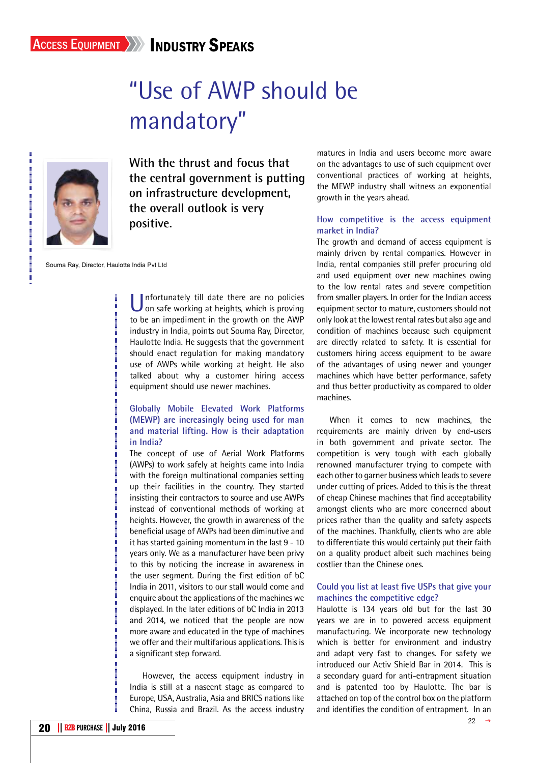# "Use of AWP should be mandatory"



**With the thrust and focus that the central government is putting on infrastructure development, the overall outlook is very positive.**

Souma Ray, Director, Haulotte India Pvt Ltd

Unfortunately till date there are no policies<br>on safe working at heights, which is proving to be an impediment in the growth on the AWP industry in India, points out Souma Ray, Director, Haulotte India. He suggests that the government should enact regulation for making mandatory use of AWPs while working at height. He also talked about why a customer hiring access equipment should use newer machines.

# **Globally Mobile Elevated Work Platforms (MEWP) are increasingly being used for man and material lifting. How is their adaptation in India?**

The concept of use of Aerial Work Platforms (AWPs) to work safely at heights came into India with the foreign multinational companies setting up their facilities in the country. They started insisting their contractors to source and use AWPs instead of conventional methods of working at heights. However, the growth in awareness of the beneficial usage of AWPs had been diminutive and it has started gaining momentum in the last 9 - 10 years only. We as a manufacturer have been privy to this by noticing the increase in awareness in the user segment. During the first edition of bC India in 2011, visitors to our stall would come and enquire about the applications of the machines we displayed. In the later editions of bC India in 2013 and 2014, we noticed that the people are now more aware and educated in the type of machines we offer and their multifarious applications. This is a significant step forward.

However, the access equipment industry in India is still at a nascent stage as compared to Europe, USA, Australia, Asia and BRICS nations like China, Russia and Brazil. As the access industry matures in India and users become more aware on the advantages to use of such equipment over conventional practices of working at heights, the MEWP industry shall witness an exponential growth in the years ahead.

#### **How competitive is the access equipment market in India?**

The growth and demand of access equipment is mainly driven by rental companies. However in India, rental companies still prefer procuring old and used equipment over new machines owing to the low rental rates and severe competition from smaller players. In order for the Indian access equipment sector to mature, customers should not only look at the lowest rental rates but also age and condition of machines because such equipment are directly related to safety. It is essential for customers hiring access equipment to be aware of the advantages of using newer and younger machines which have better performance, safety and thus better productivity as compared to older machines.

When it comes to new machines, the requirements are mainly driven by end-users in both government and private sector. The competition is very tough with each globally renowned manufacturer trying to compete with each other to garner business which leads to severe under cutting of prices. Added to this is the threat of cheap Chinese machines that find acceptability amongst clients who are more concerned about prices rather than the quality and safety aspects of the machines. Thankfully, clients who are able to differentiate this would certainly put their faith on a quality product albeit such machines being costlier than the Chinese ones.

## **Could you list at least five USPs that give your machines the competitive edge?**

Haulotte is 134 years old but for the last 30 years we are in to powered access equipment manufacturing. We incorporate new technology which is better for environment and industry and adapt very fast to changes. For safety we introduced our Activ Shield Bar in 2014. This is a secondary guard for anti-entrapment situation and is patented too by Haulotte. The bar is attached on top of the control box on the platform and identifies the condition of entrapment. In an